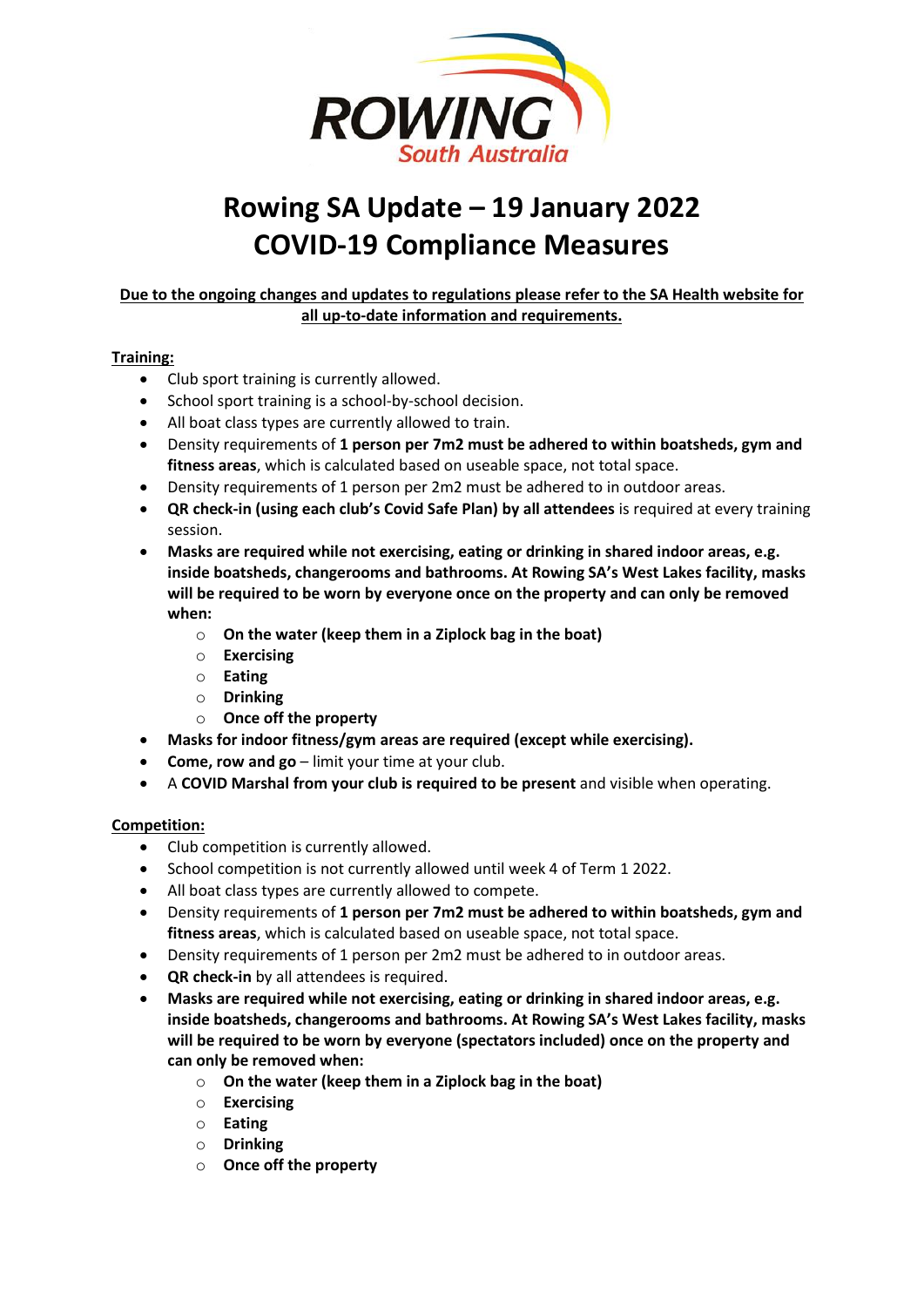

# **Rowing SA Update – 19 January 2022 COVID-19 Compliance Measures**

## **Due to the ongoing changes and updates to regulations please refer to the SA Health website for all up-to-date information and requirements.**

### **Training:**

- Club sport training is currently allowed.
- School sport training is a school-by-school decision.
- All boat class types are currently allowed to train.
- Density requirements of **1 person per 7m2 must be adhered to within boatsheds, gym and fitness areas**, which is calculated based on useable space, not total space.
- Density requirements of 1 person per 2m2 must be adhered to in outdoor areas.
- **QR check-in (using each club's Covid Safe Plan) by all attendees** is required at every training session.
- **Masks are required while not exercising, eating or drinking in shared indoor areas, e.g. inside boatsheds, changerooms and bathrooms. At Rowing SA's West Lakes facility, masks will be required to be worn by everyone once on the property and can only be removed when:**
	- o **On the water (keep them in a Ziplock bag in the boat)**
	- o **Exercising**
	- o **Eating**
	- o **Drinking**
	- o **Once off the property**
- **Masks for indoor fitness/gym areas are required (except while exercising).**
- **Come, row and go** limit your time at your club.
- A **COVID Marshal from your club is required to be present** and visible when operating.

#### **Competition:**

- Club competition is currently allowed.
- School competition is not currently allowed until week 4 of Term 1 2022.
- All boat class types are currently allowed to compete.
- Density requirements of **1 person per 7m2 must be adhered to within boatsheds, gym and fitness areas**, which is calculated based on useable space, not total space.
- Density requirements of 1 person per 2m2 must be adhered to in outdoor areas.
- **QR check-in** by all attendees is required.
- **Masks are required while not exercising, eating or drinking in shared indoor areas, e.g. inside boatsheds, changerooms and bathrooms. At Rowing SA's West Lakes facility, masks will be required to be worn by everyone (spectators included) once on the property and can only be removed when:**
	- o **On the water (keep them in a Ziplock bag in the boat)**
		- o **Exercising**
		- o **Eating**
		- o **Drinking**
		- o **Once off the property**